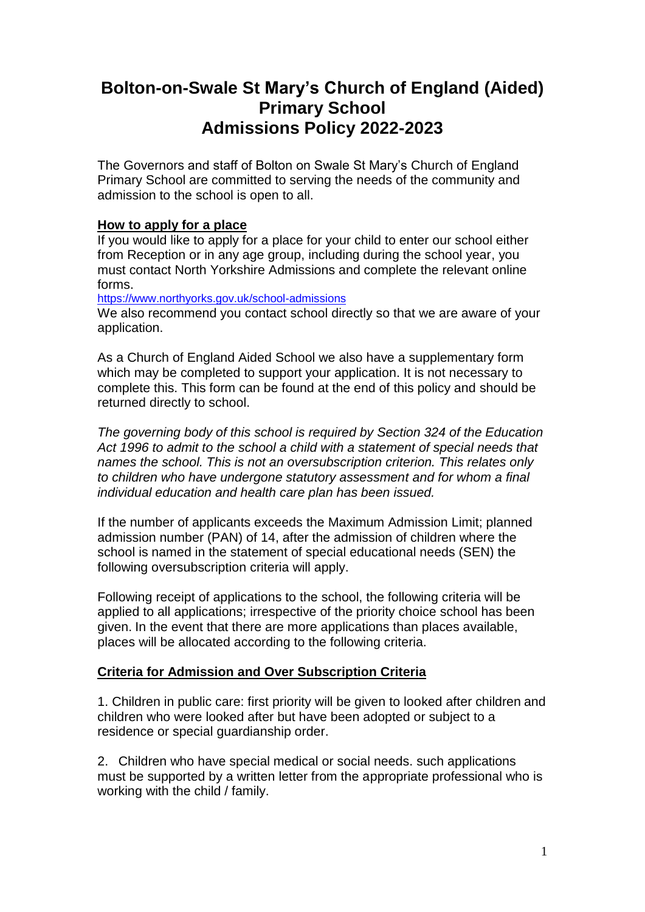# **Bolton-on-Swale St Mary's Church of England (Aided) Primary School Admissions Policy 2022-2023**

The Governors and staff of Bolton on Swale St Mary's Church of England Primary School are committed to serving the needs of the community and admission to the school is open to all.

#### **How to apply for a place**

If you would like to apply for a place for your child to enter our school either from Reception or in any age group, including during the school year, you must contact North Yorkshire Admissions and complete the relevant online forms.

<https://www.northyorks.gov.uk/school-admissions>

We also recommend you contact school directly so that we are aware of your application.

As a Church of England Aided School we also have a supplementary form which may be completed to support your application. It is not necessary to complete this. This form can be found at the end of this policy and should be returned directly to school.

*The governing body of this school is required by Section 324 of the Education Act 1996 to admit to the school a child with a statement of special needs that names the school. This is not an oversubscription criterion. This relates only to children who have undergone statutory assessment and for whom a final individual education and health care plan has been issued.*

If the number of applicants exceeds the Maximum Admission Limit; planned admission number (PAN) of 14, after the admission of children where the school is named in the statement of special educational needs (SEN) the following oversubscription criteria will apply.

Following receipt of applications to the school, the following criteria will be applied to all applications; irrespective of the priority choice school has been given. In the event that there are more applications than places available, places will be allocated according to the following criteria.

## **Criteria for Admission and Over Subscription Criteria**

1. Children in public care: first priority will be given to looked after children and children who were looked after but have been adopted or subject to a residence or special guardianship order.

2. Children who have special medical or social needs. such applications must be supported by a written letter from the appropriate professional who is working with the child / family.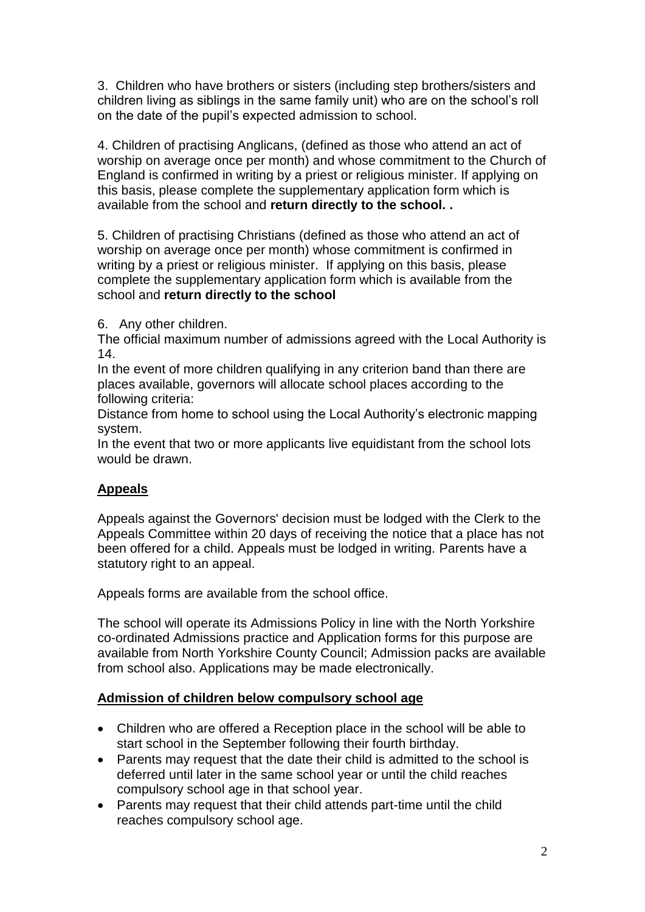3. Children who have brothers or sisters (including step brothers/sisters and children living as siblings in the same family unit) who are on the school's roll on the date of the pupil's expected admission to school.

4. Children of practising Anglicans, (defined as those who attend an act of worship on average once per month) and whose commitment to the Church of England is confirmed in writing by a priest or religious minister. If applying on this basis, please complete the supplementary application form which is available from the school and **return directly to the school. .** 

5. Children of practising Christians (defined as those who attend an act of worship on average once per month) whose commitment is confirmed in writing by a priest or religious minister. If applying on this basis, please complete the supplementary application form which is available from the school and **return directly to the school**

6. Any other children.

The official maximum number of admissions agreed with the Local Authority is 14.

In the event of more children qualifying in any criterion band than there are places available, governors will allocate school places according to the following criteria:

Distance from home to school using the Local Authority's electronic mapping system.

In the event that two or more applicants live equidistant from the school lots would be drawn.

## **Appeals**

Appeals against the Governors' decision must be lodged with the Clerk to the Appeals Committee within 20 days of receiving the notice that a place has not been offered for a child. Appeals must be lodged in writing. Parents have a statutory right to an appeal.

Appeals forms are available from the school office.

The school will operate its Admissions Policy in line with the North Yorkshire co-ordinated Admissions practice and Application forms for this purpose are available from North Yorkshire County Council; Admission packs are available from school also. Applications may be made electronically.

#### **Admission of children below compulsory school age**

- Children who are offered a Reception place in the school will be able to start school in the September following their fourth birthday.
- Parents may request that the date their child is admitted to the school is deferred until later in the same school year or until the child reaches compulsory school age in that school year.
- Parents may request that their child attends part-time until the child reaches compulsory school age.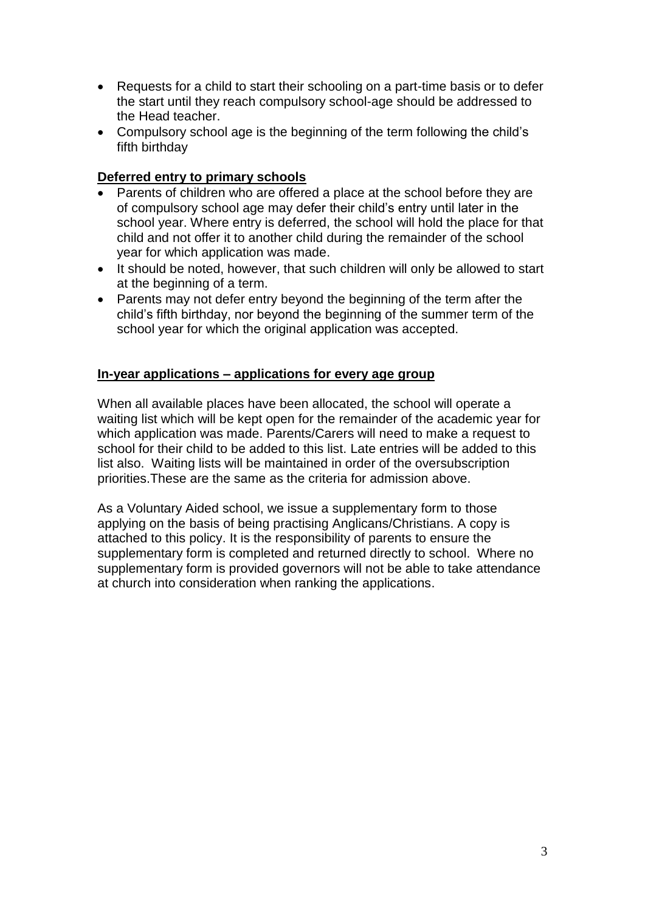- Requests for a child to start their schooling on a part-time basis or to defer the start until they reach compulsory school-age should be addressed to the Head teacher.
- Compulsory school age is the beginning of the term following the child's fifth birthday

### **Deferred entry to primary schools**

- Parents of children who are offered a place at the school before they are of compulsory school age may defer their child's entry until later in the school year. Where entry is deferred, the school will hold the place for that child and not offer it to another child during the remainder of the school year for which application was made.
- It should be noted, however, that such children will only be allowed to start at the beginning of a term.
- Parents may not defer entry beyond the beginning of the term after the child's fifth birthday, nor beyond the beginning of the summer term of the school year for which the original application was accepted.

#### **In-year applications – applications for every age group**

When all available places have been allocated, the school will operate a waiting list which will be kept open for the remainder of the academic year for which application was made. Parents/Carers will need to make a request to school for their child to be added to this list. Late entries will be added to this list also. Waiting lists will be maintained in order of the oversubscription priorities.These are the same as the criteria for admission above.

As a Voluntary Aided school, we issue a supplementary form to those applying on the basis of being practising Anglicans/Christians. A copy is attached to this policy. It is the responsibility of parents to ensure the supplementary form is completed and returned directly to school. Where no supplementary form is provided governors will not be able to take attendance at church into consideration when ranking the applications.